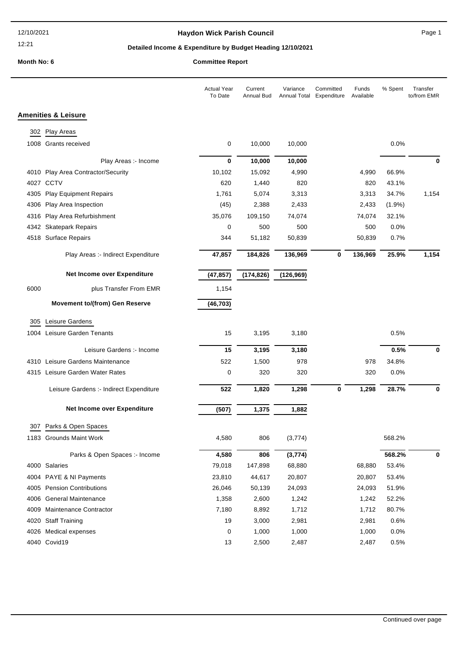#### 12:21

## **Haydon Wick Parish Council Canadian Council** Page 1

# **Detailed Income & Expenditure by Budget Heading 12/10/2021**

**Month No: 6 Committee Report**

|      |                                         | <b>Actual Year</b><br>To Date | Current<br><b>Annual Bud</b> | Variance<br>Annual Total | Committed<br>Expenditure | Funds<br>Available | % Spent | Transfer<br>to/from EMR |
|------|-----------------------------------------|-------------------------------|------------------------------|--------------------------|--------------------------|--------------------|---------|-------------------------|
|      | <b>Amenities &amp; Leisure</b>          |                               |                              |                          |                          |                    |         |                         |
| 302  | Play Areas                              |                               |                              |                          |                          |                    |         |                         |
|      | 1008 Grants received                    | 0                             | 10,000                       | 10,000                   |                          |                    | 0.0%    |                         |
|      | Play Areas :- Income                    | 0                             | 10,000                       | 10,000                   |                          |                    |         | 0                       |
|      | 4010 Play Area Contractor/Security      | 10,102                        | 15,092                       | 4,990                    |                          | 4,990              | 66.9%   |                         |
|      | 4027 CCTV                               | 620                           | 1,440                        | 820                      |                          | 820                | 43.1%   |                         |
| 4305 | <b>Play Equipment Repairs</b>           | 1,761                         | 5,074                        | 3,313                    |                          | 3,313              | 34.7%   | 1,154                   |
| 4306 | Play Area Inspection                    | (45)                          | 2,388                        | 2,433                    |                          | 2,433              | (1.9%)  |                         |
|      | 4316 Play Area Refurbishment            | 35,076                        | 109,150                      | 74,074                   |                          | 74,074             | 32.1%   |                         |
|      | 4342 Skatepark Repairs                  | 0                             | 500                          | 500                      |                          | 500                | 0.0%    |                         |
|      | 4518 Surface Repairs                    | 344                           | 51,182                       | 50,839                   |                          | 50,839             | 0.7%    |                         |
|      | Play Areas :- Indirect Expenditure      | 47,857                        | 184,826                      | 136,969                  | 0                        | 136,969            | 25.9%   | 1,154                   |
|      | Net Income over Expenditure             | (47, 857)                     | (174, 826)                   | (126, 969)               |                          |                    |         |                         |
| 6000 | plus Transfer From EMR                  | 1,154                         |                              |                          |                          |                    |         |                         |
|      | <b>Movement to/(from) Gen Reserve</b>   | (46, 703)                     |                              |                          |                          |                    |         |                         |
| 305  | Leisure Gardens                         |                               |                              |                          |                          |                    |         |                         |
| 1004 | Leisure Garden Tenants                  | 15                            | 3,195                        | 3,180                    |                          |                    | 0.5%    |                         |
|      | Leisure Gardens :- Income               | 15                            | 3,195                        | 3,180                    |                          |                    | 0.5%    | 0                       |
|      | 4310 Leisure Gardens Maintenance        | 522                           | 1,500                        | 978                      |                          | 978                | 34.8%   |                         |
|      | 4315 Leisure Garden Water Rates         | 0                             | 320                          | 320                      |                          | 320                | 0.0%    |                         |
|      | Leisure Gardens :- Indirect Expenditure | 522                           | 1,820                        | 1,298                    | 0                        | 1,298              | 28.7%   | 0                       |
|      | Net Income over Expenditure             | (507)                         | 1,375                        | 1,882                    |                          |                    |         |                         |
|      |                                         |                               |                              |                          |                          |                    |         |                         |
|      | 307 Parks & Open Spaces                 |                               |                              |                          |                          |                    |         |                         |
|      | 1183 Grounds Maint Work                 | 4,580                         | 806                          | (3,774)                  |                          |                    | 568.2%  |                         |
|      | Parks & Open Spaces :- Income           | 4,580                         | 806                          | (3, 774)                 |                          |                    | 568.2%  | 0                       |
|      | 4000 Salaries                           | 79,018                        | 147,898                      | 68,880                   |                          | 68,880             | 53.4%   |                         |
|      | 4004 PAYE & NI Payments                 | 23,810                        | 44,617                       | 20,807                   |                          | 20,807             | 53.4%   |                         |
|      | 4005 Pension Contributions              | 26,046                        | 50,139                       | 24,093                   |                          | 24,093             | 51.9%   |                         |
|      | 4006 General Maintenance                | 1,358                         | 2,600                        | 1,242                    |                          | 1,242              | 52.2%   |                         |
| 4009 | Maintenance Contractor                  | 7,180                         | 8,892                        | 1,712                    |                          | 1,712              | 80.7%   |                         |
|      | 4020 Staff Training                     | 19                            | 3,000                        | 2,981                    |                          | 2,981              | 0.6%    |                         |
| 4026 | Medical expenses                        | 0                             | 1,000                        | 1,000                    |                          | 1,000              | 0.0%    |                         |
|      | 4040 Covid19                            | 13                            | 2,500                        | 2,487                    |                          | 2,487              | 0.5%    |                         |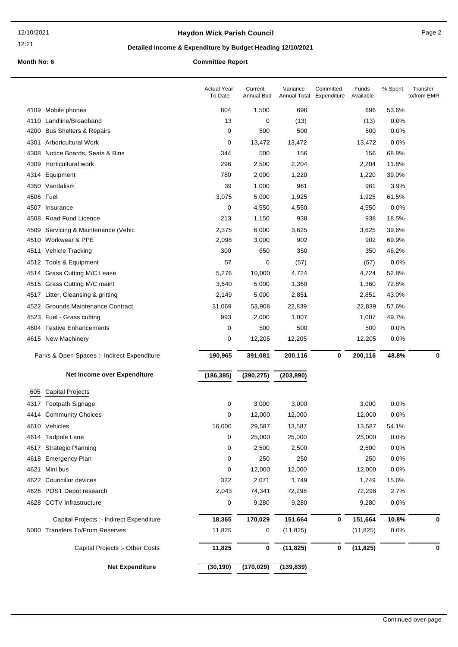12:21

## **Haydon Wick Parish Council Example 2** Page 2

## **Detailed Income & Expenditure by Budget Heading 12/10/2021**

## **Month No: 6 Committee Report**

|      |                                             | <b>Actual Year</b><br>To Date | Current<br><b>Annual Bud</b> | Variance<br>Annual Total | Committed<br>Expenditure | Funds<br>Available | % Spent       | Transfer<br>to/from EMR |
|------|---------------------------------------------|-------------------------------|------------------------------|--------------------------|--------------------------|--------------------|---------------|-------------------------|
|      | 4109 Mobile phones                          | 804                           | 1,500                        | 696                      |                          | 696                | 53.6%         |                         |
|      | 4110 Landline/Broadband                     | 13                            | 0                            | (13)                     |                          | (13)               | 0.0%          |                         |
|      | 4200 Bus Shelters & Repairs                 | 0                             | 500                          | 500                      |                          | 500                | 0.0%          |                         |
| 4301 | <b>Arboricultural Work</b>                  | 0                             | 13,472                       | 13,472                   |                          | 13,472             | 0.0%          |                         |
| 4308 | Notice Boards, Seats & Bins                 | 344                           | 500                          | 156                      |                          | 156                | 68.8%         |                         |
|      | 4309 Horticultural work                     | 296                           | 2,500                        | 2,204                    |                          | 2,204              | 11.8%         |                         |
|      | 4314 Equipment                              | 780                           | 2,000                        | 1,220                    |                          | 1,220              | 39.0%         |                         |
|      | 4350 Vandalism                              | 39                            | 1,000                        | 961                      |                          | 961                | 3.9%          |                         |
|      | 4506 Fuel                                   | 3,075                         | 5,000                        | 1,925                    |                          | 1,925              | 61.5%         |                         |
|      | 4507 Insurance                              | 0                             | 4,550                        | 4,550                    |                          | 4,550              | 0.0%          |                         |
|      | 4508 Road Fund Licence                      | 213                           | 1,150                        | 938                      |                          | 938                | 18.5%         |                         |
| 4509 | Servicing & Maintenance (Vehic              | 2,375                         | 6,000                        | 3,625                    |                          | 3,625              | 39.6%         |                         |
|      | 4510 Workwear & PPE                         | 2,098                         | 3,000                        | 902                      |                          | 902                | 69.9%         |                         |
|      | 4511 Vehicle Tracking                       | 300                           | 650                          | 350                      |                          | 350                | 46.2%         |                         |
|      | 4512 Tools & Equipment                      | 57                            | 0                            | (57)                     |                          | (57)               | 0.0%          |                         |
| 4514 | <b>Grass Cutting M/C Lease</b>              | 5,276                         | 10,000                       | 4,724                    |                          | 4,724              | 52.8%         |                         |
|      | 4515 Grass Cutting M/C maint                | 3,640                         | 5,000                        | 1,360                    |                          | 1,360              | 72.8%         |                         |
|      | 4517 Litter, Cleansing & gritting           | 2,149                         | 5,000                        | 2,851                    |                          | 2,851              | 43.0%         |                         |
|      | 4522 Grounds Maintenance Contract           | 31,069                        | 53,908                       | 22,839                   |                          | 22,839             | 57.6%         |                         |
|      | 4523 Fuel - Grass cutting                   | 993                           | 2,000                        | 1,007                    |                          | 1,007              | 49.7%         |                         |
|      | 4604 Festive Enhancements                   | 0                             | 500                          | 500                      |                          | 500                | 0.0%          |                         |
|      |                                             |                               |                              |                          |                          |                    |               |                         |
|      | 4615 New Machinery                          | 0                             | 12,205                       | 12,205                   |                          | 12,205             | 0.0%          |                         |
|      | Parks & Open Spaces :- Indirect Expenditure | 190,965                       | 391,081                      | 200,116                  | 0                        | 200,116            | 48.8%         | 0                       |
|      | Net Income over Expenditure                 | (186, 385)                    | (390, 275)                   | (203, 890)               |                          |                    |               |                         |
| 605  | <b>Capital Projects</b>                     |                               |                              |                          |                          |                    |               |                         |
|      | 4317 Footpath Signage                       | 0                             | 3,000                        | 3,000                    |                          | 3,000              | 0.0%          |                         |
| 4414 | <b>Community Choices</b>                    | 0                             | 12,000                       | 12,000                   |                          | 12,000             | 0.0%          |                         |
|      | 4610 Vehicles                               | 16,000                        | 29,587                       |                          |                          |                    |               |                         |
|      | 4614 Tadpole Lane                           | 0                             | 25,000                       | 13,587<br>25,000         |                          | 13,587<br>25,000   | 54.1%<br>0.0% |                         |
|      | 4617 Strategic Planning                     | 0                             | 2,500                        | 2,500                    |                          | 2,500              | 0.0%          |                         |
|      | 4618 Emergency Plan                         | 0                             | 250                          | 250                      |                          | 250                | 0.0%          |                         |
| 4621 | Mini bus                                    | 0                             | 12,000                       | 12,000                   |                          | 12,000             | 0.0%          |                         |
|      | 4622 Councillor devices                     | 322                           | 2,071                        | 1,749                    |                          | 1,749              | 15.6%         |                         |
|      | 4626 POST Depot research                    | 2,043                         | 74,341                       | 72,298                   |                          | 72,298             | 2.7%          |                         |
| 4628 | <b>CCTV</b> Infrastructure                  | 0                             | 9,280                        | 9,280                    |                          | 9,280              | 0.0%          |                         |
|      | Capital Projects :- Indirect Expenditure    | 18,365                        | 170,029                      | 151,664                  | 0                        | 151,664            | 10.8%         | 0                       |
|      | 5000 Transfers To/From Reserves             | 11,825                        | 0                            | (11, 825)                |                          | (11, 825)          | 0.0%          |                         |
|      | Capital Projects :- Other Costs             | 11,825                        | 0                            | (11, 825)                | 0                        | (11, 825)          |               | 0                       |
|      | <b>Net Expenditure</b>                      | (30, 190)                     | (170, 029)                   | (139, 839)               |                          |                    |               |                         |